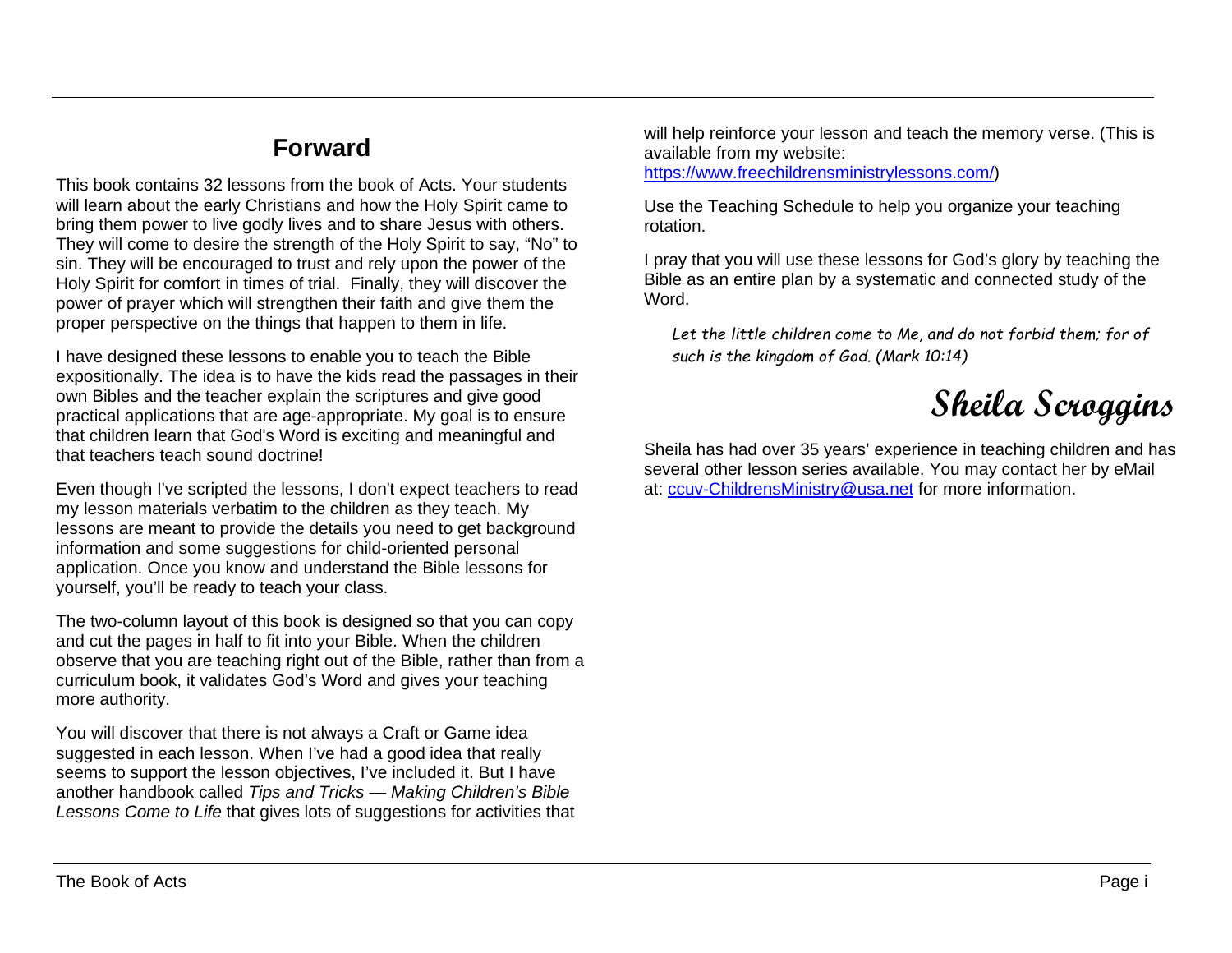## **Forward**

This book contains 32 lessons from the book of Acts. Your students will learn about the early Christians and how the Holy Spirit came to bring them power to live godly lives and to share Jesus with others. They will come to desire the strength of the Holy Spirit to say, "No" to sin. They will be encouraged to trust and rely upon the power of the Holy Spirit for comfort in times of trial. Finally, they will discover the power of prayer which will strengthen their faith and give them the proper perspective on the things that happen to them in life.

I have designed these lessons to enable you to teach the Bible expositionally. The idea is to have the kids read the passages in their own Bibles and the teacher explain the scriptures and give good practical applications that are age-appropriate. My goal is to ensure that children learn that God's Word is exciting and meaningful and that teachers teach sound doctrine!

Even though I've scripted the lessons, I don't expect teachers to read my lesson materials verbatim to the children as they teach. My lessons are meant to provide the details you need to get background information and some suggestions for child-oriented personal application. Once you know and understand the Bible lessons for yourself, you'll be ready to teach your class.

The two-column layout of this book is designed so that you can copy and cut the pages in half to fit into your Bible. When the children observe that you are teaching right out of the Bible, rather than from a curriculum book, it validates God's Word and gives your teaching more authority.

You will discover that there is not always a Craft or Game idea suggested in each lesson. When I've had a good idea that really seems to support the lesson objectives, I've included it. But I have another handbook called *Tips and Tricks — Making Children's Bible Lessons Come to Life* that gives lots of suggestions for activities that will help reinforce your lesson and teach the memory verse. (This is available from my website:

[https://www.freechildrensministrylessons.com/\)](https://www.freechildrensministrylessons.com/)

Use the Teaching Schedule to help you organize your teaching rotation.

I pray that you will use these lessons for God's glory by teaching the Bible as an entire plan by a systematic and connected study of the Word.

Let the little children come to Me, and do not forbid them; for of *such is the kingdom of God. (Mark 10:14)*

**Sheila Scroggins**

Sheila has had over 35 years' experience in teaching children and has several other lesson series available. You may contact her by eMail at: [ccuv-ChildrensMinistry@usa.net](mailto:ccuv-ChildrensMinistry@usa.net) for more information.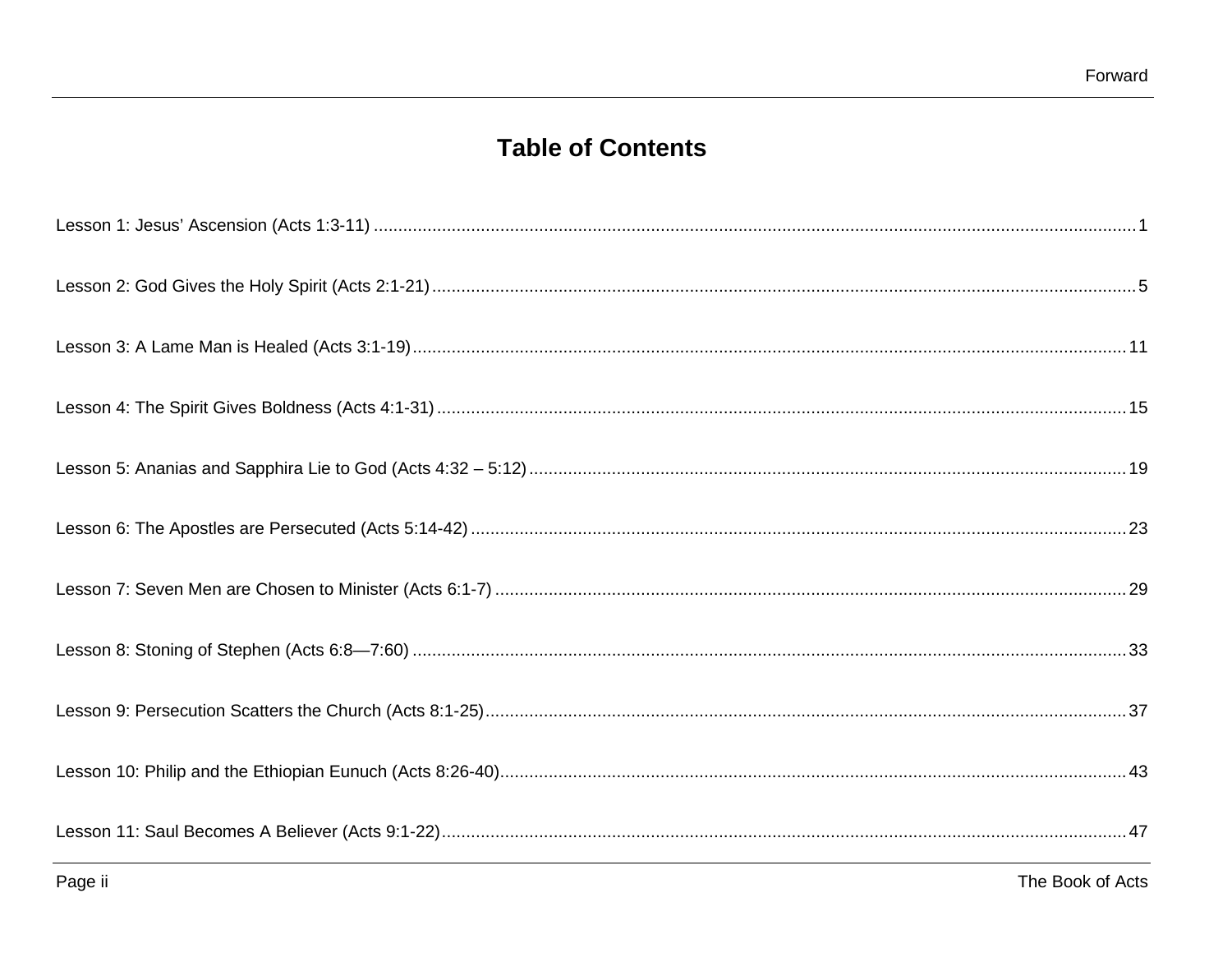## **Table of Contents**